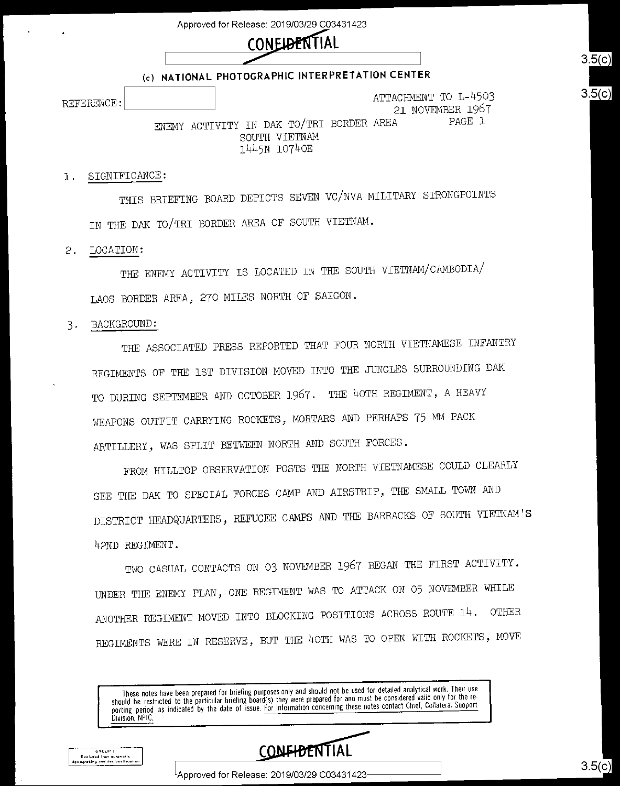Approved for Release: 2019/O3/29 CO3431423



### (c) NATIONAL PHOTOGRAPHIC INTERPRETATION CENTER

REFERENCE:  $\begin{bmatrix} \text{R}^T \end{bmatrix}$ 21 NOVEMBER 1967<br>A PAGE 1 ENEMY ACTIVITY IN DAK TO/TRI BORDER AREA

SOUTH VIETNAM 1445N 10740E

### SIGNIFICANCE:  $1.$

THIS BRIEFING BOARD DEPICTS SEVEN Vc/NVA MILITARY STRONGPOINTS IN THE DAK To/TRI BORDER AREA OF SOUTH VIETNAM.

 $\mathfrak{S}$ . LOCATION:

> THE ENEMY ACTIVITY IS LOCATED IN THE SOUTH VIETNAM/cAMBODIA/ LAOS BORDER AREA, 270 MIIES NORTH OF SAIGON.

#### BACKGROUND: 3.

THE ASSOCIATED PRESS REPORTED THAT FOUR NORTH VIETNAMESE INFANTRY REGIMENTS OF THE 1ST DIVISION MOVED INTO THE JUNGLES SURROUNDING DAK TO DURING SEPTEMBER AND OCTOBER 1967. THE 40TH REGIMENT, A HEAVY WEAPONS OUTFIT CARRYING ROCKETS, MORTARS AND PERHAPS 75 MM PACK ARTILLERY, WAS SPLIT BETWEEN NORTH AND SOUTH FORCES.

FROM HILLTOP OBSERVATION POSTS THE NORTH VIETNAMESE COULD CLEARLY SEE THE DAK TO SPECIAL FORCES CAMP AND AIRSTRIP, THE SMALL TOWN AND DISTRICT HEADQUARTERS, REFUGEE CAMPS AND THE BARRACKS OF SOUTH VIETNAM'S h?ND REGIMENT.

Two CASUAL CONTACTS ON O3 NOVEMBER 1967 BEGAN THE FIRST ACTIVITY. UNDER THE ENEMY PLAN, ONE REGIMENT wAS TO ATTACK ON O5 NOVEMBER WHILE ANOTHER REGIMENT MOVED INTO BLOCKING POSITIONS ACROSS ROUTE 14. OTHER REGIMENTS WERE IN RESERVE, BUT THE 40TH WAS TO OPEN WITH ROCKETS, MOVE

These notes have been prepared for briefing purposes only and should not be used for detailed analytical work. Then use<br>should be restricted to the particular briefing board(s) they were prepared for and must be considered Division, NPIC.



GROUP 1 .<br>Excluded from automatic<br>ingrading and declassifica

 $\textsf{L}$ Approved for Release: 2019/03/29 C03431423-

 $3.5(c)$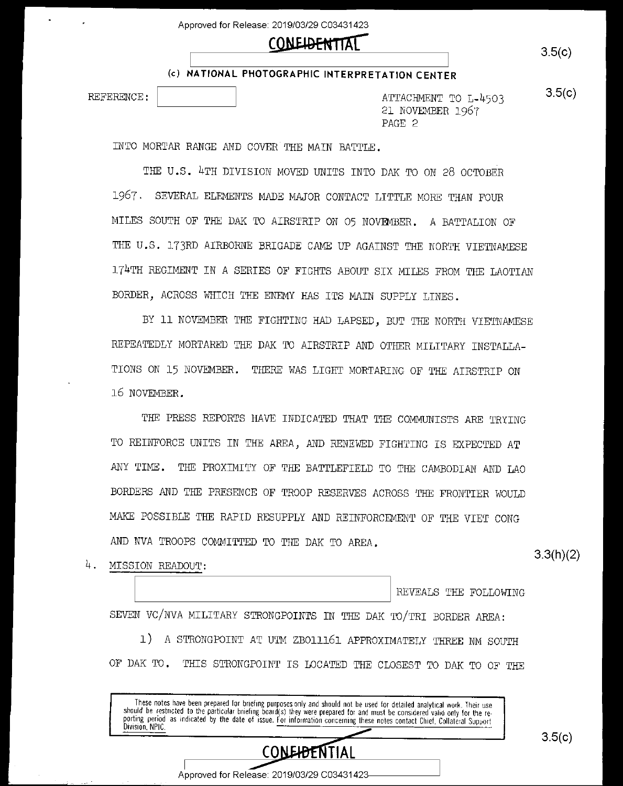# $\text{COMEIDENTIAL}$  3.5(c)

(c) NATIONAL PHOTOGRAPHIC INTERPRETATION CENTER

REFERENCE: [:::::::::::] ATTACHMENT TO L-A503 21 NOVEMBER 1967 PAGE 2

INTO MORTAR RANGE AND COVER THE MAIN BATTLE.

THE U.S. 4TH DIVISION MOVED UNITS INTO DAK TO ON 28 OCTOBER 1967. SEVERAL ELEMENTS MADE MAJOR CONTACT LITTLE MORE THAN FOUR MILES SOUTH OF THE DAK TO AIRSTRIP ON O5 NOVEMBER. A BATTALION OF THE U.S. 173RD AIRBORNE BRIGADE CAME UP AGAINST THE NORTH VIETNAMESE 174TH REGIMENT IN A SERIES OF FIGHTS ABOUT SIX MILES FROM THE LAOTIAN BORDER, ACROSS WHICH THE ENEMY HAS ITS MAIN SUPPLY LINES.

BY 11 NOVEMBER THE FIGHTING HAD LAPSED, BUT THE NORTH VIETNAMESE REPEATEDLY MORTARED THE DAK TO AIRSTRIP AND OTHER MILITARY INSTALLA-TIONS ON 15 NOVEMBER. THERE wAS LIGHT MORTARING OF THE AIRSTRIP ON 16 NOVEMEER.

THE PRESS REPORTS HAVE INDICATED THAT THE COMMUNISTS ARE TRYING TO REINFORCE UNITS IN THE AREA, AND RENEWED FIGHTING IS EXPECTED AT ANY TIME. THE PROXIMITY OF THE BATTLEFIELD TO THE CAMBODIAN AND LAO BORDERS AND THE PRESENCE OF TROOP RESERVES ACROSS THE FRONTIER WOULD MAKE POSSIBLE THE RAPID RESUPPLY AND REINFORCEMENT OF THE VIET CONG AND NVA TROOPS COMMITTED TO THE DAK TO AREA.

4. MISSION READOUT.

REVEALS THE FOLLOWING

SEVEN VC/NVA MILITARY STRONGPOINTS IN THE DAK TO/TRI BORDER AREA:

1) A STRONGPOINT AT UTM ZBOlll6l APPROXIMATELY THREE NM SOUTH OF DAK TO. THIS STRONGPOINT IS LOCATED THE CLOSEST TO DAK TO OF THE

these holes have been prepared for briefing purposes only and should not be used tor detailed analytical work. Their use<br>should be restricted to the particular briefing board(s) they were prepared for and must be considere purting period as mortated by the date of issue. <u>For information concerning</u> these notes contact Chief, Collateral Support<br>Division NDIC Division, NPIC



Approved for Release: 2019/03/29 C03431423

 $3.5(c)$ 

3.3(h)(2)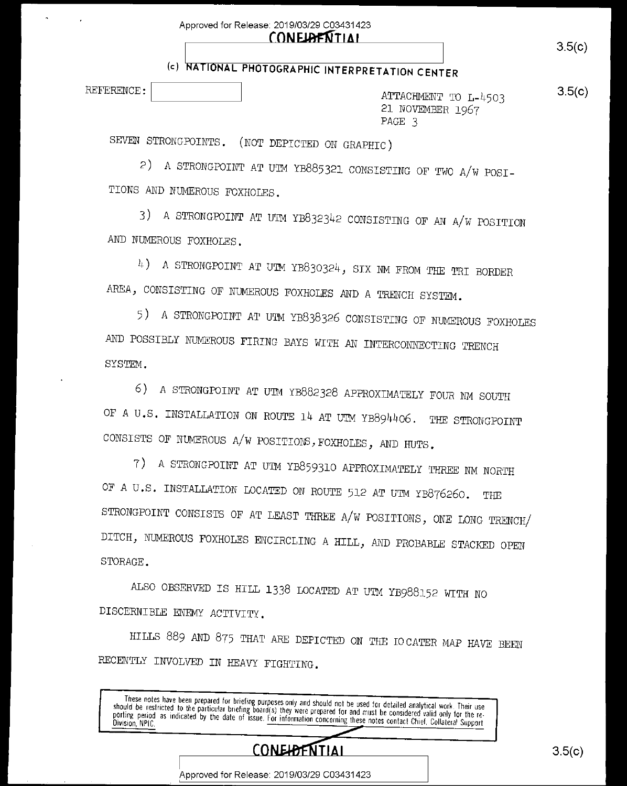| Approved for Release: 2019/03/29 C03431423 |
|--------------------------------------------|
| <b>CONELAFNTIAL</b>                        |

# (c) NATIONAL PHOTOGRAPHIC INTERPRETATION CENTER

REFERENOE:[:::::::::::::] ATTAOHENT To L-A503 21 NOVEMBER I967 PAGE 3

SEVEN STRONGPOINTS. (NOT DEPICTED ON GRAPHIO)

2) A STRONGPOINT AT UTM YB885321 OONSISTING OF Two A/w POSI-TIONS AND NUMEROUS FOXHOLES.

3) A STRONGPOINT AT UTM YB8323A2 OONSISTING OF AN A/w POSITION AND NUMEROUS FOXHOLES.

 $4$ ) A STRONGPOINT AT UTM YB830324, SIX NM FROM THE TRI BORDER AREA, OONSISTING OF NUMEROUS FOXHOLES AND A TRENCH SYSTEM.

5) A STRONGPOINT AT UTM YB838326 CONSISTING OF NUMEROUS FOXHOLES AND POSSIBLY NUMEROUS FIRING BAYS wITH AN INTEROONNEOTING TRENOH SYSTEM.

6) A STRONGPOINT AT UTM YB882328 APTROXIMATELY FOUR NM SOUTH OF A U.S. INSTALLATION ON ROUTE 14 AT UTM YB894406. THE STRONGPOINT CONSISTS OF NUMEROUS A/W POSITIONS, FOXHOLES, AND HUTS.

7) A STRONGPOINT AT UTM YB8593IO APPROXIMATELY THREE NM NORTH OF A U.S. INSTALLATION LOCATED ON ROUTE 512 AT UTM YB876260. THE STRONGPOINT OONSISIS OF AT LEAST THREE A/w POSITIONS, ONE LONG TRENcH/ DITCH, NUMEROUS FOXHOLES ENCIRCLING A HILL, AND PROBABLE STACKED OPEN STORAGE.

ALSO OBSERVED IS HILL 1338 LOCATED AT UTM YB988I52 wITH NO DISOERNIBLE ENEMY ACTIVITY.

HILLS 889 AND 875 THAT ARE DEPICTED ON THE IOCATER MAP HAVE BEEN RECENTLY INVOLVED IN HEAVY FIGHTING.

rnese notes<br>should be restric otes have been prepared for briefing purposes only and should not be used for detailed analytical work. Their use<br>restricted to the particular briefing board(s) they were prepared for and must be considered valid and the i media be restricted to the particular prieting poard(s) they were prepared for and must be considered valid only for the re-<br>porting period as indicated by the date of issue. For information concerning these assesses conta bything period as morcated by the date of issue, For information concerning these notes contact Chief, Collateral Support



 $3.5(c)$ 

Approved for Release: 2019/O3/29 CO3431423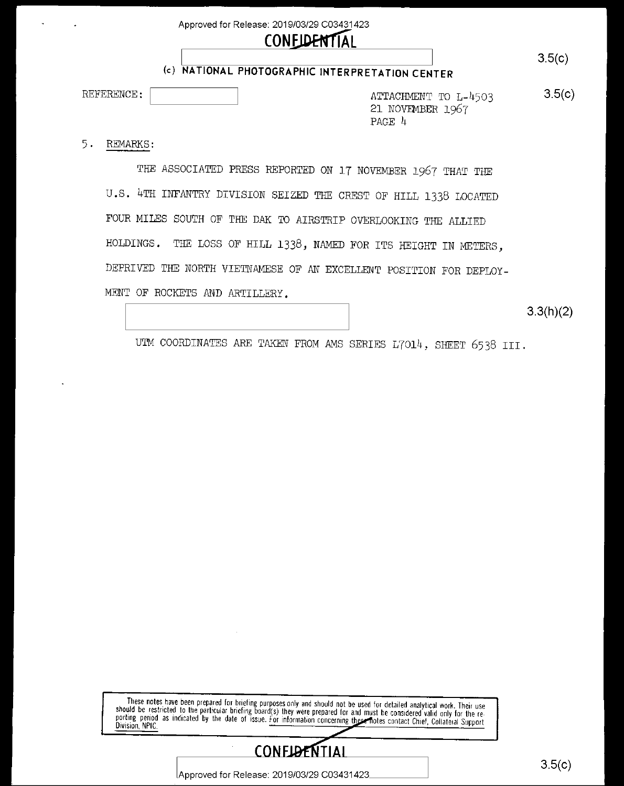Approved for Release: 2019/03/29 C03431423

## **CONFIDENTIAL**

## (c) NATIONAL PHOTOGRAPHIC INTERPRETATION CENTER

REFERENCE:

 $3.5(c)$ ATTACHMENT TO L-4503 21 NOVEMBER 1967 PAGE 4

 $5.$ REMARKS:

> THE ASSOCIATED PRESS REPORTED ON 17 NOVEMBER 1967 THAT THE U.S. 4TH INFANTRY DIVISION SEIZED THE CREST OF HILL 1338 LOCATED FOUR MILES SOUTH OF THE DAK TO AIRSTRIP OVERLOOKING THE ALLIED THE LOSS OF HILL 1338, NAMED FOR ITS HEIGHT IN METERS, HOLDINGS. DEPRIVED THE NORTH VIETNAMESE OF AN EXCELLENT POSITION FOR DEPLOY-MENT OF ROCKETS AND ARTILLERY.

> > $3.3(h)(2)$

UTM COORDINATES ARE TAKEN FROM AMS SERIES L7014, SHEET 6538 III.

These notes have been prepared for briefing purposes only and should not be used for detailed analytical work. Their use<br>should be restricted to the particular briefing board(s) they were prepared for and must be considere Division, NPIC



Approved for Release: 2019/03/29 C03431423